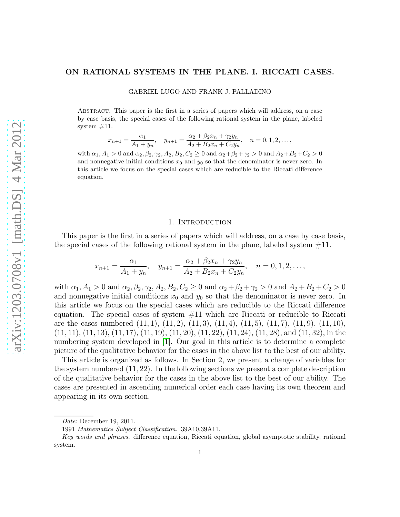## ON RATIONAL SYSTEMS IN THE PLANE. I. RICCATI CASES.

GABRIEL LUGO AND FRANK J. PALLADINO

Abstract. This paper is the first in a series of papers which will address, on a case by case basis, the special cases of the following rational system in the plane, labeled system  $#11$ .

$$
x_{n+1} = \frac{\alpha_1}{A_1 + y_n}, \quad y_{n+1} = \frac{\alpha_2 + \beta_2 x_n + \gamma_2 y_n}{A_2 + B_2 x_n + C_2 y_n}, \quad n = 0, 1, 2, \dots,
$$

with  $\alpha_1, A_1 > 0$  and  $\alpha_2, \beta_2, \gamma_2, A_2, B_2, C_2 \ge 0$  and  $\alpha_2 + \beta_2 + \gamma_2 > 0$  and  $A_2 + B_2 + C_2 > 0$ and nonnegative initial conditions  $x_0$  and  $y_0$  so that the denominator is never zero. In this article we focus on the special cases which are reducible to the Riccati difference equation.

### 1. INTRODUCTION

This paper is the first in a series of papers which will address, on a case by case basis, the special cases of the following rational system in the plane, labeled system  $\#11$ .

$$
x_{n+1} = \frac{\alpha_1}{A_1 + y_n}, \quad y_{n+1} = \frac{\alpha_2 + \beta_2 x_n + \gamma_2 y_n}{A_2 + B_2 x_n + C_2 y_n}, \quad n = 0, 1, 2, \dots,
$$

with  $\alpha_1, A_1 > 0$  and  $\alpha_2, \beta_2, \gamma_2, A_2, B_2, C_2 \ge 0$  and  $\alpha_2 + \beta_2 + \gamma_2 > 0$  and  $A_2 + B_2 + C_2 > 0$ and nonnegative initial conditions  $x_0$  and  $y_0$  so that the denominator is never zero. In this article we focus on the special cases which are reducible to the Riccati difference equation. The special cases of system  $#11$  which are Riccati or reducible to Riccati are the cases numbered  $(11, 1), (11, 2), (11, 3), (11, 4), (11, 5), (11, 7), (11, 9), (11, 10),$  $(11, 11), (11, 13), (11, 17), (11, 19), (11, 20), (11, 22), (11, 24), (11, 28),$  and  $(11, 32),$  in the numbering system developed in [\[1\]](#page-25-0). Our goal in this article is to determine a complete picture of the qualitative behavior for the cases in the above list to the best of our ability.

This article is organized as follows. In Section 2, we present a change of variables for the system numbered (11, 22). In the following sections we present a complete description of the qualitative behavior for the cases in the above list to the best of our ability. The cases are presented in ascending numerical order each case having its own theorem and appearing in its own section.

Date: December 19, 2011.

<sup>1991</sup> Mathematics Subject Classification. 39A10,39A11.

Key words and phrases. difference equation, Riccati equation, global asymptotic stability, rational system.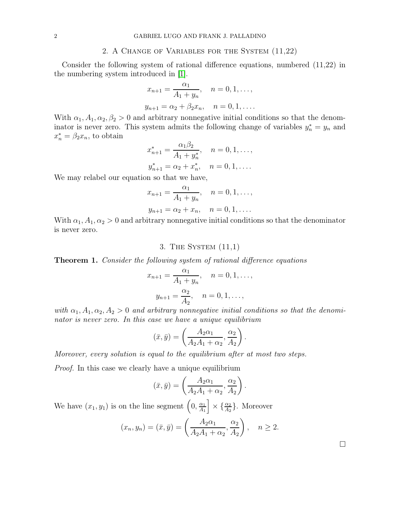#### 2. A Change of Variables for the System (11,22)

Consider the following system of rational difference equations, numbered (11,22) in the numbering system introduced in [\[1\]](#page-25-0).

$$
x_{n+1} = \frac{\alpha_1}{A_1 + y_n}, \quad n = 0, 1, \dots,
$$
  

$$
y_{n+1} = \alpha_2 + \beta_2 x_n, \quad n = 0, 1, \dots.
$$

With  $\alpha_1, A_1, \alpha_2, \beta_2 > 0$  and arbitrary nonnegative initial conditions so that the denominator is never zero. This system admits the following change of variables  $y_n^* = y_n$  and  $x_n^* = \beta_2 x_n$ , to obtain

$$
x_{n+1}^{*} = \frac{\alpha_1 \beta_2}{A_1 + y_n^{*}}, \quad n = 0, 1, \dots,
$$
  

$$
y_{n+1}^{*} = \alpha_2 + x_n^{*}, \quad n = 0, 1, \dots.
$$

We may relabel our equation so that we have,

$$
x_{n+1} = \frac{\alpha_1}{A_1 + y_n}, \quad n = 0, 1, \dots,
$$
  

$$
y_{n+1} = \alpha_2 + x_n, \quad n = 0, 1, \dots.
$$

With  $\alpha_1, A_1, \alpha_2 > 0$  and arbitrary nonnegative initial conditions so that the denominator is never zero.

# 3. The System (11,1)

**Theorem 1.** Consider the following system of rational difference equations

$$
x_{n+1} = \frac{\alpha_1}{A_1 + y_n}, \quad n = 0, 1, \dots,
$$
  

$$
y_{n+1} = \frac{\alpha_2}{A_2}, \quad n = 0, 1, \dots,
$$

with  $\alpha_1, A_1, \alpha_2, A_2 > 0$  and arbitrary nonnegative initial conditions so that the denominator is never zero. In this case we have a unique equilibrium

$$
(\bar{x}, \bar{y}) = \left(\frac{A_2\alpha_1}{A_2A_1 + \alpha_2}, \frac{\alpha_2}{A_2}\right).
$$

Moreover, every solution is equal to the equilibrium after at most two steps.

Proof. In this case we clearly have a unique equilibrium

$$
(\bar{x}, \bar{y}) = \left(\frac{A_2\alpha_1}{A_2A_1 + \alpha_2}, \frac{\alpha_2}{A_2}\right)
$$

.

We have  $(x_1, y_1)$  is on the line segment  $\left(0, \frac{\alpha_1}{4}, \frac{\alpha_2}{4}\right)$  $\left[\frac{\alpha_1}{A_1}\right] \times \left\{\frac{\alpha_2}{A_2}\right\}$ . Moreover

$$
(x_n, y_n) = (\bar{x}, \bar{y}) = \left(\frac{A_2\alpha_1}{A_2A_1 + \alpha_2}, \frac{\alpha_2}{A_2}\right), \quad n \ge 2.
$$

 $\Box$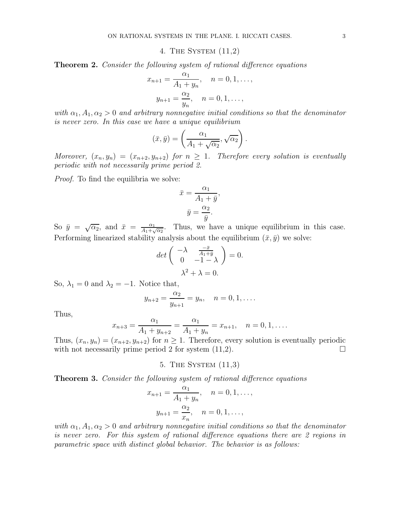4. The System (11,2)

**Theorem 2.** Consider the following system of rational difference equations

$$
x_{n+1} = \frac{\alpha_1}{A_1 + y_n}, \quad n = 0, 1, \dots,
$$
  

$$
y_{n+1} = \frac{\alpha_2}{y_n}, \quad n = 0, 1, \dots,
$$

with  $\alpha_1, A_1, \alpha_2 > 0$  and arbitrary nonnegative initial conditions so that the denominator is never zero. In this case we have a unique equilibrium

$$
(\bar{x}, \bar{y}) = \left(\frac{\alpha_1}{A_1 + \sqrt{\alpha_2}}, \sqrt{\alpha_2}\right).
$$

Moreover,  $(x_n, y_n) = (x_{n+2}, y_{n+2})$  for  $n \ge 1$ . Therefore every solution is eventually periodic with not necessarily prime period 2.

Proof. To find the equilibria we solve:

$$
\bar{x} = \frac{\alpha_1}{A_1 + \bar{y}},
$$

$$
\bar{y} = \frac{\alpha_2}{\bar{y}}.
$$

So  $\bar{y} = \sqrt{\alpha_2}$ , and  $\bar{x} = \frac{\alpha_1}{4}$  $\frac{\alpha_1}{A_1 + \sqrt{\alpha_2}}$ . Thus, we have a unique equilibrium in this case. Performing linearized stability analysis about the equilibrium  $(\bar{x}, \bar{y})$  we solve:

$$
det\begin{pmatrix} -\lambda & \frac{-\bar{x}}{A_1 + \bar{y}} \\ 0 & -1 - \lambda \end{pmatrix} = 0.
$$

$$
\lambda^2 + \lambda = 0.
$$

So,  $\lambda_1 = 0$  and  $\lambda_2 = -1$ . Notice that,

$$
y_{n+2} = \frac{\alpha_2}{y_{n+1}} = y_n, \quad n = 0, 1, \dots.
$$

Thus,

$$
x_{n+3} = \frac{\alpha_1}{A_1 + y_{n+2}} = \frac{\alpha_1}{A_1 + y_n} = x_{n+1}, \quad n = 0, 1, \dots
$$

Thus,  $(x_n, y_n) = (x_{n+2}, y_{n+2})$  for  $n \ge 1$ . Therefore, every solution is eventually periodic with not necessarily prime period 2 for system (11.2). with not necessarily prime period 2 for system (11,2).

5. The System (11,3)

Theorem 3. Consider the following system of rational difference equations

$$
x_{n+1} = \frac{\alpha_1}{A_1 + y_n}, \quad n = 0, 1, \dots,
$$
  

$$
y_{n+1} = \frac{\alpha_2}{x_n}, \quad n = 0, 1, \dots,
$$

with  $\alpha_1, A_1, \alpha_2 > 0$  and arbitrary nonnegative initial conditions so that the denominator is never zero. For this system of rational difference equations there are 2 regions in parametric space with distinct global behavior. The behavior is as follows: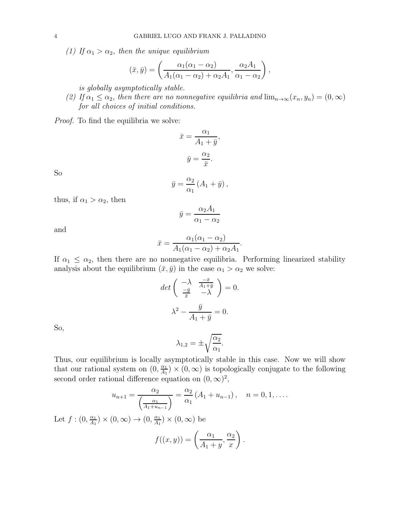(1) If  $\alpha_1 > \alpha_2$ , then the unique equilibrium

$$
(\bar{x},\bar{y}) = \left(\frac{\alpha_1(\alpha_1 - \alpha_2)}{A_1(\alpha_1 - \alpha_2) + \alpha_2 A_1}, \frac{\alpha_2 A_1}{\alpha_1 - \alpha_2}\right),
$$

is globally asymptotically stable.

(2) If  $\alpha_1 \leq \alpha_2$ , then there are no nonnegative equilibria and  $\lim_{n\to\infty} (x_n, y_n) = (0, \infty)$ for all choices of initial conditions.

Proof. To find the equilibria we solve:

$$
\bar{x} = \frac{\alpha_1}{A_1 + \bar{y}},
$$

$$
\bar{y} = \frac{\alpha_2}{\bar{x}}.
$$

So

$$
\bar{y} = \frac{\alpha_2}{\alpha_1} \left( A_1 + \bar{y} \right),
$$

thus, if  $\alpha_1 > \alpha_2$ , then

$$
\bar{y} = \frac{\alpha_2 A_1}{\alpha_1 - \alpha_2}
$$

and

$$
\bar{x} = \frac{\alpha_1(\alpha_1 - \alpha_2)}{A_1(\alpha_1 - \alpha_2) + \alpha_2 A_1}.
$$

If  $\alpha_1 \leq \alpha_2$ , then there are no nonnegative equilibria. Performing linearized stability analysis about the equilibrium  $(\bar{x}, \bar{y})$  in the case  $\alpha_1 > \alpha_2$  we solve:

$$
\det\begin{pmatrix} -\lambda & \frac{-\bar{x}}{A_1 + \bar{y}} \\ \frac{-\bar{y}}{\bar{x}} & -\lambda \end{pmatrix} = 0.
$$

$$
\lambda^2 - \frac{\bar{y}}{A_1 + \bar{y}} = 0.
$$

So,

$$
\lambda_{1,2} = \pm \sqrt{\frac{\alpha_2}{\alpha_1}}.
$$

Thus, our equilibrium is locally asymptotically stable in this case. Now we will show that our rational system on  $(0, \frac{\alpha_1}{4}$  $\frac{\alpha_1}{A_1}$  ×  $(0, \infty)$  is topologically conjugate to the following second order rational difference equation on  $(0, \infty)^2$ ,

$$
u_{n+1} = \frac{\alpha_2}{\left(\frac{\alpha_1}{A_1 + u_{n-1}}\right)} = \frac{\alpha_2}{\alpha_1} \left(A_1 + u_{n-1}\right), \quad n = 0, 1, \dots
$$

Let  $f:(0,\frac{\alpha_1}{4}$  $\frac{\alpha_1}{A_1}$   $\times$   $(0, \infty)$   $\rightarrow$   $(0, \frac{\alpha_1}{A_1})$  $\frac{\alpha_1}{A_1}$   $\times$   $(0,\infty)$  be

$$
f((x,y)) = \left(\frac{\alpha_1}{A_1 + y}, \frac{\alpha_2}{x}\right).
$$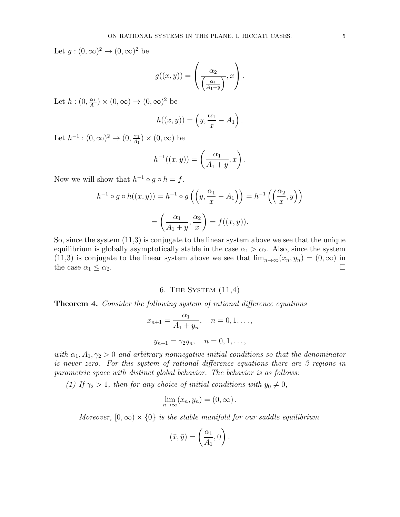Let  $g:(0,\infty)^2\to(0,\infty)^2$  be

$$
g((x,y)) = \left(\frac{\alpha_2}{\left(\frac{\alpha_1}{A_1+y}\right)}, x\right).
$$

Let  $h:(0,\frac{\alpha_1}{4}$  $\frac{\alpha_1}{A_1}$   $\times$   $(0,\infty)$   $\rightarrow$   $(0,\infty)^2$  be

$$
h((x,y)) = \left(y, \frac{\alpha_1}{x} - A_1\right).
$$

Let  $h^{-1} : (0, \infty)^2 \to (0, \frac{\alpha_1}{A_1})$  $\frac{\alpha_1}{A_1}$   $\times$   $(0,\infty)$  be

$$
h^{-1}((x,y)) = \left(\frac{\alpha_1}{A_1 + y}, x\right).
$$

Now we will show that  $h^{-1} \circ g \circ h = f$ .

$$
h^{-1} \circ g \circ h((x, y)) = h^{-1} \circ g\left(\left(y, \frac{\alpha_1}{x} - A_1\right)\right) = h^{-1}\left(\left(\frac{\alpha_2}{x}, y\right)\right)
$$

$$
= \left(\frac{\alpha_1}{A_1 + y}, \frac{\alpha_2}{x}\right) = f((x, y)).
$$

So, since the system (11,3) is conjugate to the linear system above we see that the unique equilibrium is globally asymptotically stable in the case  $\alpha_1 > \alpha_2$ . Also, since the system (11,3) is conjugate to the linear system above we see that  $\lim_{n\to\infty} (x_n, y_n) = (0, \infty)$  in the case  $\alpha_1 \leq \alpha_2$ . the case  $\alpha_1 \leq \alpha_2$ .

# 6. The System (11,4)

**Theorem 4.** Consider the following system of rational difference equations

$$
x_{n+1} = \frac{\alpha_1}{A_1 + y_n}, \quad n = 0, 1, \dots,
$$
  

$$
y_{n+1} = \gamma_2 y_n, \quad n = 0, 1, \dots,
$$

with  $\alpha_1, A_1, \gamma_2 > 0$  and arbitrary nonnegative initial conditions so that the denominator is never zero. For this system of rational difference equations there are 3 regions in parametric space with distinct global behavior. The behavior is as follows:

(1) If  $\gamma_2 > 1$ , then for any choice of initial conditions with  $y_0 \neq 0$ ,

$$
\lim_{n\to\infty}(x_n,y_n)=(0,\infty).
$$

Moreover,  $[0, \infty) \times \{0\}$  is the stable manifold for our saddle equilibrium

$$
(\bar{x}, \bar{y}) = \left(\frac{\alpha_1}{A_1}, 0\right).
$$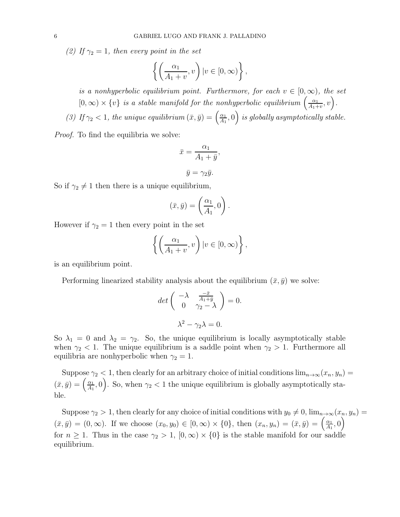(2) If  $\gamma_2 = 1$ , then every point in the set

$$
\left\{ \left( \frac{\alpha_1}{A_1 + v}, v \right) | v \in [0, \infty) \right\},\
$$

is a nonhyperbolic equilibrium point. Furthermore, for each  $v \in [0, \infty)$ , the set  $[0, \infty) \times \{v\}$  is a stable manifold for the nonhyperbolic equilibrium  $\left(\frac{\alpha_1}{A_1 + \alpha_2}\right)$  $\frac{\alpha_1}{A_1+v},v\Big).$ 

(3) If  $\gamma_2$  < 1, the unique equilibrium  $(\bar{x}, \bar{y}) = \begin{pmatrix} \frac{\alpha_1}{4} \end{pmatrix}$  $\left(\frac{\alpha_1}{A_1},0\right)$  is globally asymptotically stable.

Proof. To find the equilibria we solve:

$$
\bar{x} = \frac{\alpha_1}{A_1 + \bar{y}},
$$

$$
\bar{y} = \gamma_2 \bar{y}.
$$

So if  $\gamma_2 \neq 1$  then there is a unique equilibrium,

$$
(\bar{x}, \bar{y}) = \left(\frac{\alpha_1}{A_1}, 0\right).
$$

However if  $\gamma_2 = 1$  then every point in the set

$$
\left\{ \left( \frac{\alpha_1}{A_1 + v}, v \right) | v \in [0, \infty) \right\},\
$$

is an equilibrium point.

Performing linearized stability analysis about the equilibrium  $(\bar{x}, \bar{y})$  we solve:

$$
\det\begin{pmatrix} -\lambda & \frac{-\bar{x}}{A_1 + \bar{y}} \\ 0 & \gamma_2 - \lambda \end{pmatrix} = 0.
$$

$$
\lambda^2 - \gamma_2 \lambda = 0.
$$

So  $\lambda_1 = 0$  and  $\lambda_2 = \gamma_2$ . So, the unique equilibrium is locally asymptotically stable when  $\gamma_2$  < 1. The unique equilibrium is a saddle point when  $\gamma_2 > 1$ . Furthermore all equilibria are nonhyperbolic when  $\gamma_2 = 1$ .

Suppose  $\gamma_2$  < 1, then clearly for an arbitrary choice of initial conditions  $\lim_{n\to\infty}(x_n, y_n)$  $(\bar{x}, \bar{y}) = \left(\frac{\alpha_1}{4_1}\right)$  $\left( \frac{\alpha_1}{A_1}, 0 \right)$ . So, when  $\gamma_2 < 1$  the unique equilibrium is globally asymptotically stable.

Suppose  $\gamma_2 > 1$ , then clearly for any choice of initial conditions with  $y_0 \neq 0$ ,  $\lim_{n\to\infty} (x_n, y_n)$  $(\bar{x}, \bar{y}) = (0, \infty)$ . If we choose  $(x_0, y_0) \in [0, \infty) \times \{0\}$ , then  $(x_n, y_n) = (\bar{x}, \bar{y}) = \left(\frac{\alpha_1}{A_1}\right)$  $\frac{\alpha_1}{A_1}, 0\right)$ for  $n \geq 1$ . Thus in the case  $\gamma_2 > 1$ ,  $[0, \infty) \times \{0\}$  is the stable manifold for our saddle equilibrium.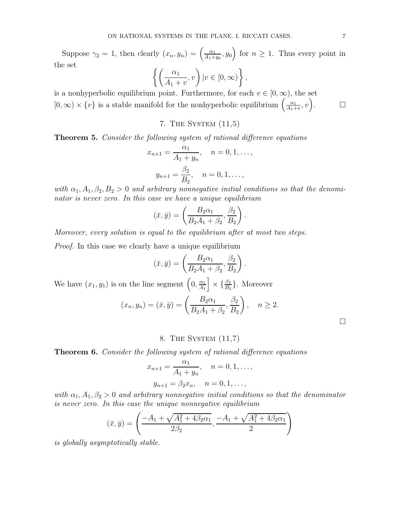Suppose  $\gamma_2 = 1$ , then clearly  $(x_n, y_n) = \left(\frac{\alpha_1}{A_1 + \alpha_2}\right)$  $\frac{\alpha_1}{A_1+y_0}$ ,  $y_0$  for  $n \geq 1$ . Thus every point in the set  $\int \int \alpha_1$ <u>}</u>

$$
\left\{ \left( \frac{\alpha_1}{A_1 + v}, v \right) | v \in [0, \infty) \right\},\
$$

is a nonhyperbolic equilibrium point. Furthermore, for each  $v \in [0, \infty)$ , the set  $[0, \infty) \times \{v\}$  is a stable manifold for the nonhyperbolic equilibrium  $\left(\frac{\alpha_1}{A_1 + \alpha_2}\right)$  $\frac{\alpha_1}{A_1+v},v\right)$ 

# 7. The System (11,5)

Theorem 5. Consider the following system of rational difference equations

$$
x_{n+1} = \frac{\alpha_1}{A_1 + y_n}, \quad n = 0, 1, \dots,
$$
  

$$
y_{n+1} = \frac{\beta_2}{B_2}, \quad n = 0, 1, \dots,
$$

with  $\alpha_1, A_1, \beta_2, B_2 > 0$  and arbitrary nonnegative initial conditions so that the denominator is never zero. In this case we have a unique equilibrium

$$
(\bar{x}, \bar{y}) = \left(\frac{B_2\alpha_1}{B_2A_1 + \beta_2}, \frac{\beta_2}{B_2}\right).
$$

Moreover, every solution is equal to the equilibrium after at most two steps.

Proof. In this case we clearly have a unique equilibrium

$$
(\bar{x}, \bar{y}) = \left(\frac{B_2\alpha_1}{B_2A_1 + \beta_2}, \frac{\beta_2}{B_2}\right).
$$

We have  $(x_1, y_1)$  is on the line segment  $\left(0, \frac{\alpha_1}{4}, \frac{\alpha_2}{4}\right)$  $\left[\frac{\alpha_1}{A_1}\right] \times \{\frac{\beta_2}{B_2}\}\.$  Moreover

$$
(x_n, y_n) = (\bar{x}, \bar{y}) = \left(\frac{B_2\alpha_1}{B_2A_1 + \beta_2}, \frac{\beta_2}{B_2}\right), \quad n \ge 2.
$$

# 8. The System (11,7)

Theorem 6. Consider the following system of rational difference equations

$$
x_{n+1} = \frac{\alpha_1}{A_1 + y_n}, \quad n = 0, 1, \dots,
$$
  

$$
y_{n+1} = \beta_2 x_n, \quad n = 0, 1, \dots,
$$

with  $\alpha_1, A_1, \beta_2 > 0$  and arbitrary nonnegative initial conditions so that the denominator is never zero. In this case the unique nonnegative equilibrium

$$
(\bar{x}, \bar{y}) = \left(\frac{-A_1 + \sqrt{A_1^2 + 4\beta_2\alpha_1}}{2\beta_2}, \frac{-A_1 + \sqrt{A_1^2 + 4\beta_2\alpha_1}}{2}\right)
$$

is globally asymptotically stable.

 $\Box$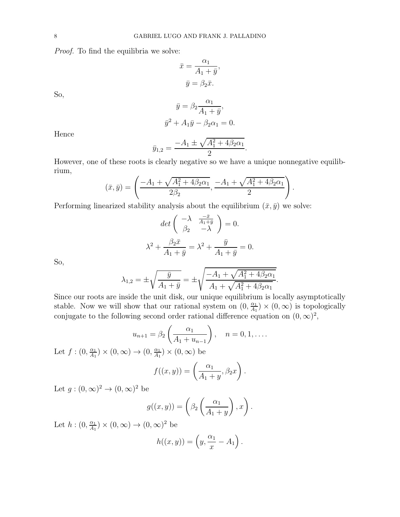Proof. To find the equilibria we solve:

$$
\bar{x} = \frac{\alpha_1}{A_1 + \bar{y}},
$$

$$
\bar{y} = \beta_2 \bar{x}.
$$

So,

$$
\bar{y} = \beta_2 \frac{\alpha_1}{A_1 + \bar{y}},
$$
  

$$
\bar{y}^2 + A_1 \bar{y} - \beta_2 \alpha_1 = 0.
$$

Hence

$$
\bar{y}_{1,2} = \frac{-A_1 \pm \sqrt{A_1^2 + 4\beta_2 \alpha_1}}{2}.
$$

However, one of these roots is clearly negative so we have a unique nonnegative equilibrium,

$$
(\bar{x}, \bar{y}) = \left(\frac{-A_1 + \sqrt{A_1^2 + 4\beta_2\alpha_1}}{2\beta_2}, \frac{-A_1 + \sqrt{A_1^2 + 4\beta_2\alpha_1}}{2}\right).
$$

Performing linearized stability analysis about the equilibrium  $(\bar{x}, \bar{y})$  we solve:

$$
det\begin{pmatrix} -\lambda & \frac{-\bar{x}}{A_1 + \bar{y}} \\ \beta_2 & -\lambda \end{pmatrix} = 0.
$$

$$
\lambda^2 + \frac{\beta_2 \bar{x}}{A_1 + \bar{y}} = \lambda^2 + \frac{\bar{y}}{A_1 + \bar{y}} = 0.
$$

So,

$$
\lambda_{1,2} = \pm \sqrt{\frac{\bar{y}}{A_1 + \bar{y}}} = \pm \sqrt{\frac{-A_1 + \sqrt{A_1^2 + 4\beta_2 \alpha_1}}{A_1 + \sqrt{A_1^2 + 4\beta_2 \alpha_1}}}.
$$

Since our roots are inside the unit disk, our unique equilibrium is locally asymptotically stable. Now we will show that our rational system on  $(0, \frac{\alpha_1}{4}$  $\frac{\alpha_1}{A_1}$   $\times$  (0,  $\infty$ ) is topologically conjugate to the following second order rational difference equation on  $(0, \infty)^2$ ,

$$
u_{n+1} = \beta_2 \left( \frac{\alpha_1}{A_1 + u_{n-1}} \right), \quad n = 0, 1, \dots
$$

Let  $f:(0,\frac{\alpha_1}{4}$  $\frac{\alpha_1}{A_1}$   $\times$   $(0, \infty)$   $\rightarrow$   $(0, \frac{\alpha_1}{A_1})$  $\frac{\alpha_1}{A_1}$   $\times$   $(0,\infty)$  be

$$
f((x,y)) = \left(\frac{\alpha_1}{A_1 + y}, \beta_2 x\right).
$$

Let  $g:(0,\infty)^2\to(0,\infty)^2$  be

$$
g((x,y)) = \left(\beta_2\left(\frac{\alpha_1}{A_1+y}\right), x\right).
$$

Let  $h:(0,\frac{\alpha_1}{4}$  $\frac{\alpha_1}{A_1}$   $\times$   $(0,\infty)$   $\rightarrow$   $(0,\infty)^2$  be

$$
h((x,y)) = \left(y, \frac{\alpha_1}{x} - A_1\right).
$$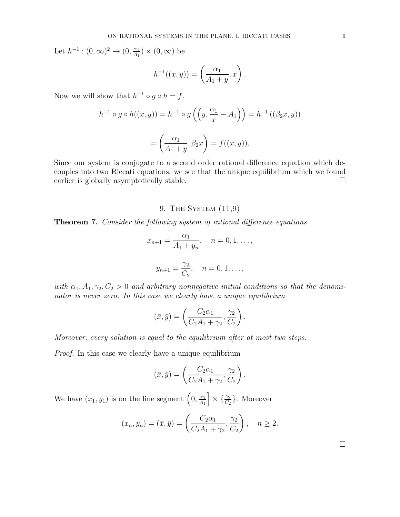Let  $h^{-1} : (0, \infty)^2 \to (0, \frac{\alpha_1}{A_1})$  $\frac{\alpha_1}{A_1}$   $\times$   $(0,\infty)$  be

$$
h^{-1}((x,y)) = \left(\frac{\alpha_1}{A_1 + y}, x\right).
$$

Now we will show that  $h^{-1} \circ g \circ h = f$ .

$$
h^{-1} \circ g \circ h((x, y)) = h^{-1} \circ g \left( \left( y, \frac{\alpha_1}{x} - A_1 \right) \right) = h^{-1} \left( (\beta_2 x, y) \right)
$$

$$
= \left( \frac{\alpha_1}{A_1 + y}, \beta_2 x \right) = f((x, y)).
$$

Since our system is conjugate to a second order rational difference equation which decouples into two Riccati equations, we see that the unique equilibrium which we found earlier is globally asymptotically stable.  $\square$ 

# 9. The System (11,9)

Theorem 7. Consider the following system of rational difference equations

$$
x_{n+1} = \frac{\alpha_1}{A_1 + y_n}, \quad n = 0, 1, \dots,
$$
  

$$
\gamma_2
$$

$$
y_{n+1} = \frac{\gamma_2}{C_2}, \quad n = 0, 1, \ldots,
$$

with  $\alpha_1, A_1, \gamma_2, C_2 > 0$  and arbitrary nonnegative initial conditions so that the denominator is never zero. In this case we clearly have a unique equilibrium

$$
(\bar{x}, \bar{y}) = \left(\frac{C_2\alpha_1}{C_2A_1 + \gamma_2}, \frac{\gamma_2}{C_2}\right).
$$

Moreover, every solution is equal to the equilibrium after at most two steps.

Proof. In this case we clearly have a unique equilibrium

$$
(\bar{x}, \bar{y}) = \left(\frac{C_2\alpha_1}{C_2A_1 + \gamma_2}, \frac{\gamma_2}{C_2}\right).
$$

We have  $(x_1, y_1)$  is on the line segment  $\left(0, \frac{\alpha_1}{4}, \frac{\alpha_2}{4}\right)$  $\left[\frac{\alpha_1}{A_1}\right] \times \left\{\frac{\gamma_2}{C_2}\right\}$ . Moreover

$$
(x_n, y_n) = (\bar{x}, \bar{y}) = \left(\frac{C_2\alpha_1}{C_2A_1 + \gamma_2}, \frac{\gamma_2}{C_2}\right), \quad n \ge 2.
$$

 $\Box$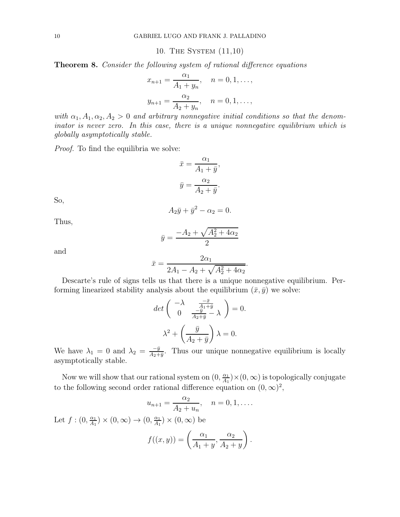10. The System (11,10)

Theorem 8. Consider the following system of rational difference equations

$$
x_{n+1} = \frac{\alpha_1}{A_1 + y_n}, \quad n = 0, 1, \dots,
$$
  

$$
y_{n+1} = \frac{\alpha_2}{A_2 + y_n}, \quad n = 0, 1, \dots,
$$

with  $\alpha_1, A_1, \alpha_2, A_2 > 0$  and arbitrary nonnegative initial conditions so that the denominator is never zero. In this case, there is a unique nonnegative equilibrium which is globally asymptotically stable.

Proof. To find the equilibria we solve:

$$
\bar{x} = \frac{\alpha_1}{A_1 + \bar{y}},
$$

$$
\bar{y} = \frac{\alpha_2}{A_2 + \bar{y}}.
$$

So,

$$
A_2\bar{y} + \bar{y}^2 - \alpha_2 = 0.
$$

Thus,

$$
\bar{y} = \frac{-A_2 + \sqrt{A_2^2 + 4\alpha_2}}{2}
$$

and

$$
\bar{x} = \frac{2\alpha_1}{2A_1 - A_2 + \sqrt{A_2^2 + 4\alpha_2}}.
$$

Descarte's rule of signs tells us that there is a unique nonnegative equilibrium. Performing linearized stability analysis about the equilibrium  $(\bar{x}, \bar{y})$  we solve:

$$
\det\begin{pmatrix} -\lambda & \frac{-\bar{x}}{A_1+\bar{y}} \\ 0 & \frac{-\bar{y}}{A_2+\bar{y}} - \lambda \end{pmatrix} = 0.
$$

$$
\lambda^2 + \left(\frac{\bar{y}}{A_2+\bar{y}}\right)\lambda = 0.
$$

We have  $\lambda_1 = 0$  and  $\lambda_2 = \frac{-\bar{y}}{A_2 + \bar{y}}$ . Thus our unique nonnegative equilibrium is locally asymptotically stable.

Now we will show that our rational system on  $(0, \frac{\alpha_1}{4}$  $\frac{\alpha_1}{A_1}$   $\times$  (0,  $\infty$ ) is topologically conjugate to the following second order rational difference equation on  $(0, \infty)^2$ ,

$$
u_{n+1} = \frac{\alpha_2}{A_2 + u_n}, \quad n = 0, 1, ....
$$

Let  $f:(0,\frac{\alpha_1}{4},$  $\frac{\alpha_1}{A_1}$   $\times$   $(0, \infty)$   $\rightarrow$   $(0, \frac{\alpha_1}{A_1})$  $\frac{\alpha_1}{A_1}$   $\times$   $(0,\infty)$  be

$$
f((x,y)) = \left(\frac{\alpha_1}{A_1 + y}, \frac{\alpha_2}{A_2 + y}\right).
$$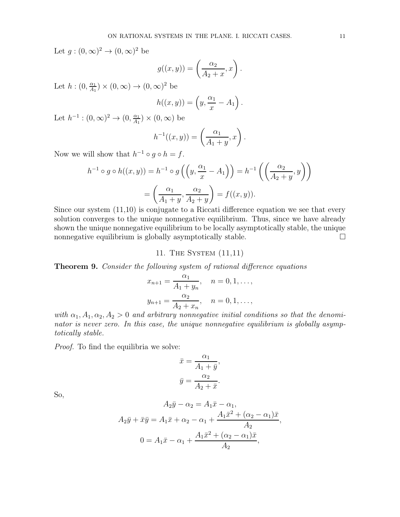Let  $g:(0,\infty)^2\to(0,\infty)^2$  be

$$
g((x,y)) = \left(\frac{\alpha_2}{A_2 + x}, x\right).
$$

Let  $h:(0,\frac{\alpha_1}{4}$  $\frac{\alpha_1}{A_1}$   $\times$   $(0,\infty)$   $\rightarrow$   $(0,\infty)^2$  be

$$
h((x,y)) = \left(y, \frac{\alpha_1}{x} - A_1\right).
$$

Let  $h^{-1} : (0, \infty)^2 \to (0, \frac{\alpha_1}{A_1})$  $\frac{\alpha_1}{A_1}$   $\times$   $(0,\infty)$  be

$$
h^{-1}((x,y)) = \left(\frac{\alpha_1}{A_1 + y}, x\right).
$$

Now we will show that  $h^{-1} \circ g \circ h = f$ .

$$
h^{-1} \circ g \circ h((x, y)) = h^{-1} \circ g\left(\left(y, \frac{\alpha_1}{x} - A_1\right)\right) = h^{-1}\left(\left(\frac{\alpha_2}{A_2 + y}, y\right)\right)
$$

$$
= \left(\frac{\alpha_1}{A_1 + y}, \frac{\alpha_2}{A_2 + y}\right) = f((x, y)).
$$

Since our system (11,10) is conjugate to a Riccati difference equation we see that every solution converges to the unique nonnegative equilibrium. Thus, since we have already shown the unique nonnegative equilibrium to be locally asymptotically stable, the unique nonnegative equilibrium is globally asymptotically stable.  $\Box$ 

11. The System (11,11)

Theorem 9. Consider the following system of rational difference equations

$$
x_{n+1} = \frac{\alpha_1}{A_1 + y_n}, \quad n = 0, 1, \dots,
$$
  

$$
y_{n+1} = \frac{\alpha_2}{A_2 + x_n}, \quad n = 0, 1, \dots,
$$

with  $\alpha_1, A_1, \alpha_2, A_2 > 0$  and arbitrary nonnegative initial conditions so that the denominator is never zero. In this case, the unique nonnegative equilibrium is globally asymptotically stable.

Proof. To find the equilibria we solve:

$$
\bar{x} = \frac{\alpha_1}{A_1 + \bar{y}},
$$

$$
\bar{y} = \frac{\alpha_2}{A_2 + \bar{x}}.
$$

So,

$$
A_2\bar{y} - \alpha_2 = A_1\bar{x} - \alpha_1,
$$
  
\n
$$
A_2\bar{y} + \bar{x}\bar{y} = A_1\bar{x} + \alpha_2 - \alpha_1 + \frac{A_1\bar{x}^2 + (\alpha_2 - \alpha_1)\bar{x}}{A_2},
$$
  
\n
$$
0 = A_1\bar{x} - \alpha_1 + \frac{A_1\bar{x}^2 + (\alpha_2 - \alpha_1)\bar{x}}{A_2},
$$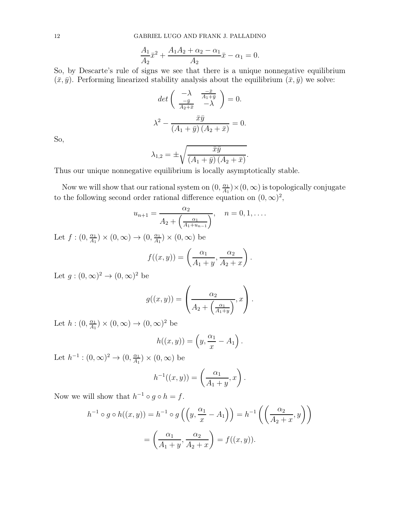$$
\frac{A_1}{A_2}\bar{x}^2 + \frac{A_1A_2 + \alpha_2 - \alpha_1}{A_2}\bar{x} - \alpha_1 = 0.
$$

So, by Descarte's rule of signs we see that there is a unique nonnegative equilibrium  $(\bar{x}, \bar{y})$ . Performing linearized stability analysis about the equilibrium  $(\bar{x}, \bar{y})$  we solve:

$$
\det\begin{pmatrix} -\lambda & \frac{-\bar{x}}{A_1 + \bar{y}} \\ \frac{-\bar{y}}{A_2 + \bar{x}} & -\lambda \end{pmatrix} = 0.
$$

$$
\lambda^2 - \frac{\bar{x}\bar{y}}{(A_1 + \bar{y})(A_2 + \bar{x})} = 0.
$$

So,

$$
\lambda_{1,2} = \pm \sqrt{\frac{\bar{x}\bar{y}}{(A_1 + \bar{y})(A_2 + \bar{x})}}.
$$

Thus our unique nonnegative equilibrium is locally asymptotically stable.

Now we will show that our rational system on  $(0, \frac{\alpha_1}{4}$  $\frac{\alpha_1}{A_1}$   $\times$  (0,  $\infty$ ) is topologically conjugate to the following second order rational difference equation on  $(0, \infty)^2$ ,

$$
u_{n+1} = \frac{\alpha_2}{A_2 + \left(\frac{\alpha_1}{A_1 + u_{n-1}}\right)}, \quad n = 0, 1, \dots
$$

Let  $f:(0,\frac{\alpha_1}{4},$  $\frac{\alpha_1}{A_1}$   $\times$   $(0, \infty)$   $\rightarrow$   $(0, \frac{\alpha_1}{A_1})$  $\frac{\alpha_1}{A_1}$   $\times$   $(0,\infty)$  be

$$
f((x,y)) = \left(\frac{\alpha_1}{A_1 + y}, \frac{\alpha_2}{A_2 + x}\right).
$$

Let  $g:(0,\infty)^2\to(0,\infty)^2$  be

$$
g((x,y)) = \left(\frac{\alpha_2}{A_2 + \left(\frac{\alpha_1}{A_1 + y}\right)}, x\right).
$$

Let  $h:(0,\frac{\alpha_1}{4}$  $\frac{\alpha_1}{A_1}$   $\times$   $(0,\infty)$   $\rightarrow$   $(0,\infty)^2$  be

$$
h((x,y)) = \left(y, \frac{\alpha_1}{x} - A_1\right).
$$

Let  $h^{-1} : (0, \infty)^2 \to (0, \frac{\alpha_1}{A_1})$  $\frac{\alpha_1}{A_1}$   $\times$   $(0,\infty)$  be

$$
h^{-1}((x, y)) = \left(\frac{\alpha_1}{A_1 + y}, x\right).
$$

Now we will show that  $h^{-1} \circ g \circ h = f$ .

$$
h^{-1} \circ g \circ h((x, y)) = h^{-1} \circ g\left(\left(y, \frac{\alpha_1}{x} - A_1\right)\right) = h^{-1}\left(\left(\frac{\alpha_2}{A_2 + x}, y\right)\right)
$$

$$
= \left(\frac{\alpha_1}{A_1 + y}, \frac{\alpha_2}{A_2 + x}\right) = f((x, y)).
$$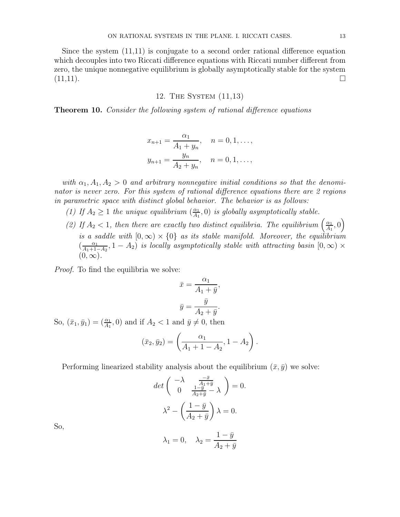Since the system (11,11) is conjugate to a second order rational difference equation which decouples into two Riccati difference equations with Riccati number different from zero, the unique nonnegative equilibrium is globally asymptotically stable for the system  $(11,11).$ 

# 12. The System (11,13)

**Theorem 10.** Consider the following system of rational difference equations

$$
x_{n+1} = \frac{\alpha_1}{A_1 + y_n}, \quad n = 0, 1, \dots,
$$
  

$$
y_{n+1} = \frac{y_n}{A_2 + y_n}, \quad n = 0, 1, \dots,
$$

with  $\alpha_1, A_1, A_2 > 0$  and arbitrary nonnegative initial conditions so that the denominator is never zero. For this system of rational difference equations there are 2 regions in parametric space with distinct global behavior. The behavior is as follows:

- (1) If  $A_2 \geq 1$  the unique equilibrium  $\left(\frac{\alpha_1}{A_1}\right)$  $\frac{\alpha_1}{A_1}$ , 0) is globally asymptotically stable.
- (2) If  $A_2 < 1$ , then there are exactly two distinct equilibria. The equilibrium  $\left(\frac{\alpha_1}{A_1}\right)$  $\frac{\alpha_1}{A_1}, 0\right)$ is a saddle with  $[0, \infty) \times \{0\}$  as its stable manifold. Moreover, the equilibrium  $\left(\frac{\alpha_1}{4+1}\right)$  $\frac{\alpha_1}{A_1+1-A_2}$ ,  $1-A_2$ ) is locally asymptotically stable with attracting basin  $[0,\infty)\times$  $(0, \infty)$ .

Proof. To find the equilibria we solve:

$$
\bar{x} = \frac{\alpha_1}{A_1 + \bar{y}},
$$

$$
\bar{y} = \frac{\bar{y}}{A_2 + \bar{y}}.
$$

So,  $(\bar{x}_1, \bar{y}_1) = (\frac{\alpha_1}{A_1}, 0)$  and if  $A_2 < 1$  and  $\bar{y} \neq 0$ , then

$$
(\bar{x}_2, \bar{y}_2) = \left(\frac{\alpha_1}{A_1 + 1 - A_2}, 1 - A_2\right).
$$

Performing linearized stability analysis about the equilibrium  $(\bar{x}, \bar{y})$  we solve:

$$
\det\begin{pmatrix} -\lambda & \frac{-\bar{x}}{A_1+\bar{y}} \\ 0 & \frac{1-\bar{y}}{A_2+\bar{y}} - \lambda \end{pmatrix} = 0.
$$

$$
\lambda^2 - \left(\frac{1-\bar{y}}{A_2+\bar{y}}\right)\lambda = 0.
$$

So,

$$
\lambda_1=0, \quad \lambda_2=\frac{1-\bar{y}}{A_2+\bar{y}}
$$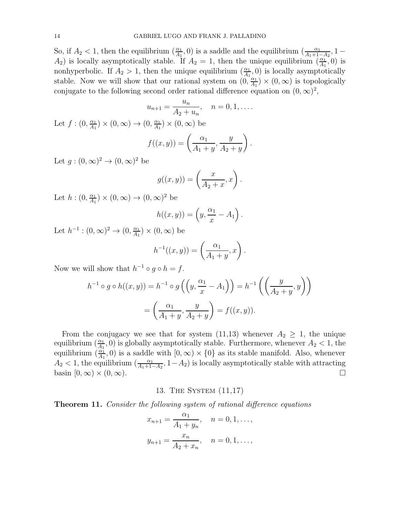So, if  $A_2 < 1$ , then the equilibrium  $\left(\frac{\alpha_1}{A_1}\right)$  $\frac{\alpha_1}{A_1}$ , 0) is a saddle and the equilibrium  $\left(\frac{\alpha_1}{A_1+1}\right)$  $\frac{\alpha_1}{A_1+1-A_2}, 1 A_2$ ) is locally asymptotically stable. If  $A_2 = 1$ , then the unique equilibrium  $\left(\frac{\alpha_1}{A_1}\right)$  $\frac{\alpha_1}{A_1}$ , 0) is nonhyperbolic. If  $A_2 > 1$ , then the unique equilibrium  $\left(\frac{\alpha_1}{A_1}\right)$  $\frac{\alpha_1}{A_1}$ , 0) is locally asymptotically stable. Now we will show that our rational system on  $(0, \frac{\alpha_1}{4}$  $\frac{\alpha_1}{A_1}$   $\times$  (0,  $\infty$ ) is topologically conjugate to the following second order rational difference equation on  $(0, \infty)^2$ ,

$$
u_{n+1} = \frac{u_n}{A_2 + u_n}, \quad n = 0, 1, \dots
$$
  
Let  $f: (0, \frac{\alpha_1}{A_1}) \times (0, \infty) \to (0, \frac{\alpha_1}{A_1}) \times (0, \infty)$  be  

$$
f((x, y)) = \left(\frac{\alpha_1}{A_1 + y}, \frac{y}{A_2 + y}\right).
$$

Let  $g:(0,\infty)^2\to(0,\infty)^2$  be

$$
g((x,y)) = \left(\frac{x}{A_2 + x}, x\right).
$$

Let  $h:(0,\frac{\alpha_1}{4}$  $\frac{\alpha_1}{A_1}$   $\times$   $(0,\infty)$   $\rightarrow$   $(0,\infty)^2$  be

$$
h((x,y)) = \left(y, \frac{\alpha_1}{x} - A_1\right).
$$

Let  $h^{-1} : (0, \infty)^2 \to (0, \frac{\alpha_1}{A_1})$  $\frac{\alpha_1}{A_1}$   $\times$   $(0,\infty)$  be

$$
h^{-1}((x,y)) = \left(\frac{\alpha_1}{A_1 + y}, x\right)
$$

.

Now we will show that  $h^{-1} \circ g \circ h = f$ .

$$
h^{-1} \circ g \circ h((x, y)) = h^{-1} \circ g\left(\left(y, \frac{\alpha_1}{x} - A_1\right)\right) = h^{-1}\left(\left(\frac{y}{A_2 + y}, y\right)\right)
$$

$$
= \left(\frac{\alpha_1}{A_1 + y}, \frac{y}{A_2 + y}\right) = f((x, y)).
$$

From the conjugacy we see that for system  $(11,13)$  whenever  $A_2 \geq 1$ , the unique equilibrium  $\left(\frac{\alpha_1}{4_1}\right)$  $\frac{\alpha_1}{A_1}$ , 0) is globally asymptotically stable. Furthermore, whenever  $A_2 < 1$ , the equilibrium  $\left(\frac{\alpha_1}{4_1}\right)$  $\frac{\alpha_1}{A_1}$ , 0) is a saddle with  $[0, \infty) \times \{0\}$  as its stable manifold. Also, whenever  $A_2 < 1$ , the equilibrium  $\left(\frac{\alpha_1}{4+1}\right)$  $\frac{\alpha_1}{A_1+1-A_2}$ ,  $1-A_2$ ) is locally asymptotically stable with attracting basin  $[0, \infty) \times (0, \infty)$ .

## 13. The System (11,17)

Theorem 11. Consider the following system of rational difference equations

$$
x_{n+1} = \frac{\alpha_1}{A_1 + y_n}, \quad n = 0, 1, \dots,
$$
  

$$
y_{n+1} = \frac{x_n}{A_2 + x_n}, \quad n = 0, 1, \dots,
$$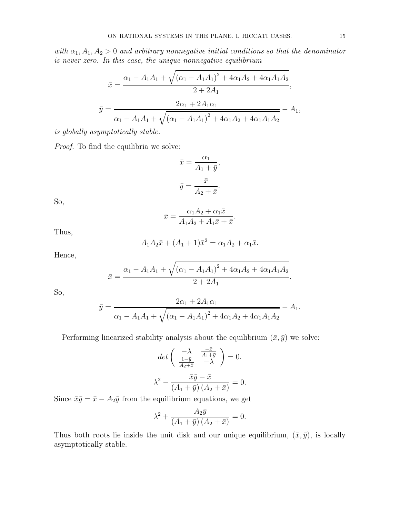with  $\alpha_1, A_1, A_2 > 0$  and arbitrary nonnegative initial conditions so that the denominator is never zero. In this case, the unique nonnegative equilibrium

$$
\bar{x} = \frac{\alpha_1 - A_1 A_1 + \sqrt{(\alpha_1 - A_1 A_1)^2 + 4\alpha_1 A_2 + 4\alpha_1 A_1 A_2}}{2 + 2A_1},
$$
  

$$
\bar{y} = \frac{2\alpha_1 + 2A_1\alpha_1}{\alpha_1 - A_1 A_1 + \sqrt{(\alpha_1 - A_1 A_1)^2 + 4\alpha_1 A_2 + 4\alpha_1 A_1 A_2}} - A_1,
$$

is globally asymptotically stable.

Proof. To find the equilibria we solve:

$$
\bar{x} = \frac{\alpha_1}{A_1 + \bar{y}},
$$

$$
\bar{y} = \frac{\bar{x}}{A_2 + \bar{x}}.
$$

So,

$$
\bar{x} = \frac{\alpha_1 A_2 + \alpha_1 \bar{x}}{A_1 A_2 + A_1 \bar{x} + \bar{x}}.
$$

Thus,

$$
A_1 A_2 \bar{x} + (A_1 + 1)\bar{x}^2 = \alpha_1 A_2 + \alpha_1 \bar{x}.
$$

Hence,

$$
\bar{x} = \frac{\alpha_1 - A_1 A_1 + \sqrt{(\alpha_1 - A_1 A_1)^2 + 4\alpha_1 A_2 + 4\alpha_1 A_1 A_2}}{2 + 2A_1}.
$$

So,

$$
\bar{y} = \frac{2\alpha_1 + 2A_1\alpha_1}{\alpha_1 - A_1A_1 + \sqrt{(\alpha_1 - A_1A_1)^2 + 4\alpha_1A_2 + 4\alpha_1A_1A_2}} - A_1.
$$

Performing linearized stability analysis about the equilibrium  $(\bar{x}, \bar{y})$  we solve:

$$
\det\begin{pmatrix} -\lambda & \frac{-\bar{x}}{A_1 + \bar{y}} \\ \frac{1 - \bar{y}}{A_2 + \bar{x}} & -\lambda \end{pmatrix} = 0.
$$

$$
\lambda^2 - \frac{\bar{x}\bar{y} - \bar{x}}{(A_1 + \bar{y})(A_2 + \bar{x})} = 0.
$$

Since  $\bar{x}\bar{y} = \bar{x} - A_2\bar{y}$  from the equilibrium equations, we get

$$
\lambda^{2} + \frac{A_{2}\bar{y}}{(A_{1}+\bar{y})\left(A_{2}+\bar{x}\right)} = 0.
$$

Thus both roots lie inside the unit disk and our unique equilibrium,  $(\bar{x}, \bar{y})$ , is locally asymptotically stable.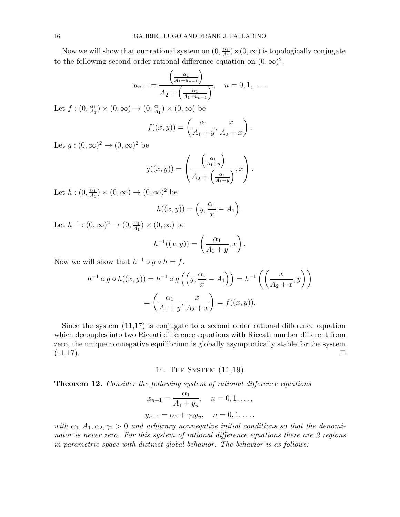Now we will show that our rational system on  $(0, \frac{\alpha_1}{4}$  $\frac{\alpha_1}{A_1}$   $\times$  (0,  $\infty$ ) is topologically conjugate to the following second order rational difference equation on  $(0, \infty)^2$ ,

$$
u_{n+1} = \frac{\left(\frac{\alpha_1}{A_1 + u_{n-1}}\right)}{A_2 + \left(\frac{\alpha_1}{A_1 + u_{n-1}}\right)}, \quad n = 0, 1, \dots
$$

Let  $f:(0,\frac{\alpha_1}{4}$  $\frac{\alpha_1}{A_1}$   $\times$   $(0, \infty)$   $\rightarrow$   $(0, \frac{\alpha_1}{A_1})$  $\frac{\alpha_1}{A_1}$   $\times$   $(0,\infty)$  be

$$
f((x,y)) = \left(\frac{\alpha_1}{A_1 + y}, \frac{x}{A_2 + x}\right).
$$

Let  $g:(0,\infty)^2\to(0,\infty)^2$  be

$$
g((x,y)) = \left(\frac{\left(\frac{\alpha_1}{A_1+y}\right)}{A_2 + \left(\frac{\alpha_1}{A_1+y}\right)}, x\right).
$$

Let  $h:(0,\frac{\alpha_1}{4}$  $\frac{\alpha_1}{A_1}$   $\times$   $(0,\infty)$   $\rightarrow$   $(0,\infty)^2$  be

$$
h((x,y)) = \left(y, \frac{\alpha_1}{x} - A_1\right).
$$

Let  $h^{-1} : (0, \infty)^2 \to (0, \frac{\alpha_1}{A_1})$  $\frac{\alpha_1}{A_1}$   $\times$   $(0,\infty)$  be

$$
h^{-1}((x,y)) = \left(\frac{\alpha_1}{A_1 + y}, x\right).
$$

Now we will show that  $h^{-1} \circ g \circ h = f$ .

$$
h^{-1} \circ g \circ h((x, y)) = h^{-1} \circ g\left(\left(y, \frac{\alpha_1}{x} - A_1\right)\right) = h^{-1}\left(\left(\frac{x}{A_2 + x}, y\right)\right)
$$

$$
= \left(\frac{\alpha_1}{A_1 + y}, \frac{x}{A_2 + x}\right) = f((x, y)).
$$

Since the system (11,17) is conjugate to a second order rational difference equation which decouples into two Riccati difference equations with Riccati number different from zero, the unique nonnegative equilibrium is globally asymptotically stable for the system  $(11,17)$ .

14. The System (11,19)

Theorem 12. Consider the following system of rational difference equations

$$
x_{n+1} = \frac{\alpha_1}{A_1 + y_n}, \quad n = 0, 1, \dots,
$$
  

$$
y_{n+1} = \alpha_2 + \gamma_2 y_n, \quad n = 0, 1, \dots,
$$

with  $\alpha_1, A_1, \alpha_2, \gamma_2 > 0$  and arbitrary nonnegative initial conditions so that the denominator is never zero. For this system of rational difference equations there are 2 regions in parametric space with distinct global behavior. The behavior is as follows: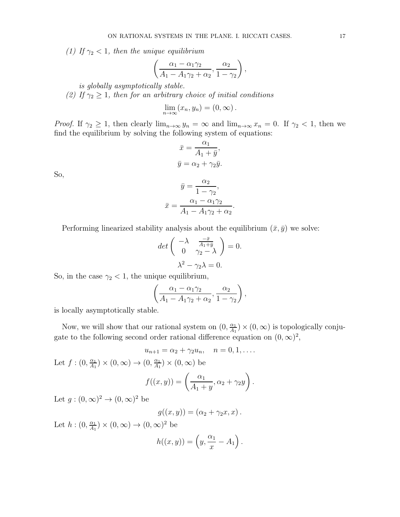(1) If  $\gamma_2$  < 1, then the unique equilibrium

$$
\left(\frac{\alpha_1-\alpha_1\gamma_2}{A_1-A_1\gamma_2+\alpha_2},\frac{\alpha_2}{1-\gamma_2}\right),\,
$$

is globally asymptotically stable.

(2) If  $\gamma_2 \geq 1$ , then for an arbitrary choice of initial conditions

$$
\lim_{n\to\infty}(x_n,y_n)=(0,\infty).
$$

*Proof.* If  $\gamma_2 \geq 1$ , then clearly  $\lim_{n\to\infty} y_n = \infty$  and  $\lim_{n\to\infty} x_n = 0$ . If  $\gamma_2 < 1$ , then we find the equilibrium by solving the following system of equations:

$$
\bar{x} = \frac{\alpha_1}{A_1 + \bar{y}},
$$

$$
\bar{y} = \alpha_2 + \gamma_2 \bar{y}.
$$

So,

$$
\bar{y} = \frac{\alpha_2}{1 - \gamma_2},
$$

$$
\bar{x} = \frac{\alpha_1 - \alpha_1 \gamma_2}{A_1 - A_1 \gamma_2 + \alpha_2}.
$$

Performing linearized stability analysis about the equilibrium  $(\bar{x}, \bar{y})$  we solve:

$$
\det\begin{pmatrix} -\lambda & \frac{-\bar{x}}{A_1 + \bar{y}} \\ 0 & \gamma_2 - \lambda \end{pmatrix} = 0.
$$

$$
\lambda^2 - \gamma_2 \lambda = 0.
$$

So, in the case  $\gamma_2$  < 1, the unique equilibrium,

$$
\left(\frac{\alpha_1-\alpha_1\gamma_2}{A_1-A_1\gamma_2+\alpha_2},\frac{\alpha_2}{1-\gamma_2}\right),\,
$$

is locally asymptotically stable.

Now, we will show that our rational system on  $(0, \frac{\alpha_1}{4}$  $\frac{\alpha_1}{A_1}$   $\times$  (0,  $\infty$ ) is topologically conjugate to the following second order rational difference equation on  $(0, \infty)^2$ ,

$$
u_{n+1} = \alpha_2 + \gamma_2 u_n, \quad n = 0, 1, \dots
$$

Let  $f:(0,\frac{\alpha_1}{4}$  $\frac{\alpha_1}{A_1}$   $\times$   $(0, \infty)$   $\rightarrow$   $(0, \frac{\alpha_1}{A_1})$  $\frac{\alpha_1}{A_1}$   $\times$   $(0,\infty)$  be

$$
f((x,y)) = \left(\frac{\alpha_1}{A_1 + y}, \alpha_2 + \gamma_2 y\right).
$$

Let  $g:(0,\infty)^2\to(0,\infty)^2$  be

$$
g((x,y))=(\alpha_2+\gamma_2x,x).
$$

Let  $h:(0,\frac{\alpha_1}{4}$  $\frac{\alpha_1}{A_1}$   $\times$   $(0,\infty)$   $\rightarrow$   $(0,\infty)^2$  be

$$
h((x,y)) = \left(y, \frac{\alpha_1}{x} - A_1\right).
$$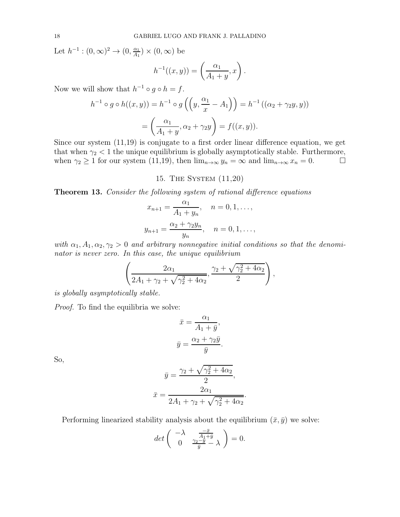Let  $h^{-1} : (0, \infty)^2 \to (0, \frac{\alpha_1}{A_1})$  $\frac{\alpha_1}{A_1}$   $\times$   $(0,\infty)$  be

$$
h^{-1}((x, y)) = \left(\frac{\alpha_1}{A_1 + y}, x\right).
$$

Now we will show that  $h^{-1} \circ g \circ h = f$ .

$$
h^{-1} \circ g \circ h((x, y)) = h^{-1} \circ g \left( \left( y, \frac{\alpha_1}{x} - A_1 \right) \right) = h^{-1} \left( (\alpha_2 + \gamma_2 y, y) \right)
$$

$$
= \left( \frac{\alpha_1}{A_1 + y}, \alpha_2 + \gamma_2 y \right) = f((x, y)).
$$

Since our system (11,19) is conjugate to a first order linear difference equation, we get that when  $\gamma_2$  < 1 the unique equilibrium is globally asymptotically stable. Furthermore, when  $\gamma_2 \ge 1$  for our system (11,19), then  $\lim_{n\to\infty} y_n = \infty$  and  $\lim_{n\to\infty} x_n = 0$ .

# 15. The System (11,20)

**Theorem 13.** Consider the following system of rational difference equations

$$
x_{n+1} = \frac{\alpha_1}{A_1 + y_n}, \quad n = 0, 1, \dots,
$$
  

$$
y_{n+1} = \frac{\alpha_2 + \gamma_2 y_n}{y_n}, \quad n = 0, 1, \dots,
$$

with  $\alpha_1, A_1, \alpha_2, \gamma_2 > 0$  and arbitrary nonnegative initial conditions so that the denominator is never zero. In this case, the unique equilibrium

$$
\left(\frac{2\alpha_1}{2A_1 + \gamma_2 + \sqrt{\gamma_2^2 + 4\alpha_2}}, \frac{\gamma_2 + \sqrt{\gamma_2^2 + 4\alpha_2}}{2}\right),
$$

is globally asymptotically stable.

Proof. To find the equilibria we solve:

$$
\bar{x} = \frac{\alpha_1}{A_1 + \bar{y}},
$$

$$
\bar{y} = \frac{\alpha_2 + \gamma_2 \bar{y}}{\bar{y}}.
$$

So,

$$
\bar{y} = \frac{\gamma_2 + \sqrt{\gamma_2^2 + 4\alpha_2}}{2},
$$

$$
\bar{x} = \frac{2\alpha_1}{2A_1 + \gamma_2 + \sqrt{\gamma_2^2 + 4\alpha_2}}
$$

.

Performing linearized stability analysis about the equilibrium  $(\bar{x}, \bar{y})$  we solve:

$$
det\left(\begin{array}{cc} -\lambda & \frac{-\bar{x}}{A_1+\bar{y}} \\ 0 & \frac{\gamma_2-\bar{y}}{\bar{y}}-\lambda \end{array}\right)=0.
$$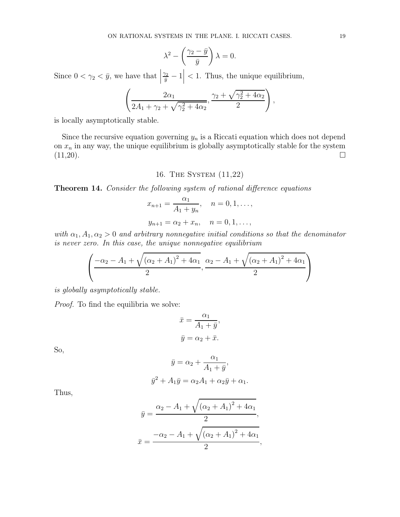$$
\lambda^2 - \left(\frac{\gamma_2 - \bar{y}}{\bar{y}}\right)\lambda = 0.
$$

Since  $0 < \gamma_2 < \bar{y}$ , we have that  $\frac{\gamma_2}{\bar{y}}-1\Big|$ < 1. Thus, the unique equilibrium,

$$
\left(\frac{2\alpha_1}{2A_1 + \gamma_2 + \sqrt{\gamma_2^2 + 4\alpha_2}}, \frac{\gamma_2 + \sqrt{\gamma_2^2 + 4\alpha_2}}{2}\right),
$$

is locally asymptotically stable.

Since the recursive equation governing  $y_n$  is a Riccati equation which does not depend on  $x_n$  in any way, the unique equilibrium is globally asymptotically stable for the system  $(11,20).$ 

# 16. The System (11,22)

Theorem 14. Consider the following system of rational difference equations

$$
x_{n+1} = \frac{\alpha_1}{A_1 + y_n}, \quad n = 0, 1, \dots,
$$

$$
y_{n+1} = \alpha_2 + x_n, \quad n = 0, 1, \dots,
$$

with  $\alpha_1, A_1, \alpha_2 > 0$  and arbitrary nonnegative initial conditions so that the denominator is never zero. In this case, the unique nonnegative equilibrium

$$
\left(\frac{-\alpha_2 - A_1 + \sqrt{(\alpha_2 + A_1)^2 + 4\alpha_1}}{2}, \frac{\alpha_2 - A_1 + \sqrt{(\alpha_2 + A_1)^2 + 4\alpha_1}}{2}\right)
$$

is globally asymptotically stable.

Proof. To find the equilibria we solve:

$$
\bar{x} = \frac{\alpha_1}{A_1 + \bar{y}},
$$
  

$$
\bar{y} = \alpha_2 + \bar{x}.
$$

So,

$$
\bar{y} = \alpha_2 + \frac{\alpha_1}{A_1 + \bar{y}},
$$
  

$$
\bar{y}^2 + A_1 \bar{y} = \alpha_2 A_1 + \alpha_2 \bar{y} + \alpha_1.
$$

Thus,

$$
\bar{y} = \frac{\alpha_2 - A_1 + \sqrt{(\alpha_2 + A_1)^2 + 4\alpha_1}}{2},
$$

$$
\bar{x} = \frac{-\alpha_2 - A_1 + \sqrt{(\alpha_2 + A_1)^2 + 4\alpha_1}}{2},
$$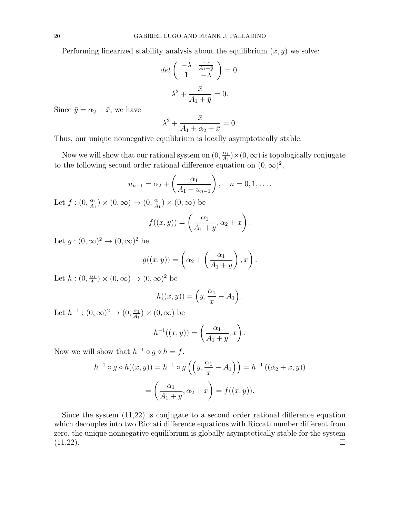Performing linearized stability analysis about the equilibrium  $(\bar{x}, \bar{y})$  we solve:

$$
\det\begin{pmatrix} -\lambda & \frac{-\bar{x}}{A_1 + \bar{y}} \\ 1 & -\lambda \end{pmatrix} = 0.
$$

$$
\lambda^2 + \frac{\bar{x}}{A_1 + \bar{y}} = 0.
$$

Since  $\bar{y} = \alpha_2 + \bar{x}$ , we have

$$
\lambda^2 + \frac{\bar{x}}{A_1 + \alpha_2 + \bar{x}} = 0.
$$

Thus, our unique nonnegative equilibrium is locally asymptotically stable.

Now we will show that our rational system on  $(0, \frac{\alpha_1}{4}$  $\frac{\alpha_1}{A_1}$   $\times$  (0,  $\infty$ ) is topologically conjugate to the following second order rational difference equation on  $(0, \infty)^2$ ,

$$
u_{n+1} = \alpha_2 + \left(\frac{\alpha_1}{A_1 + u_{n-1}}\right), \quad n = 0, 1, ....
$$

Let  $f:(0,\frac{\alpha_1}{4},$  $\frac{\alpha_1}{A_1}$   $\times$   $(0, \infty)$   $\rightarrow$   $(0, \frac{\alpha_1}{A_1})$  $\frac{\alpha_1}{A_1}$   $\times$   $(0,\infty)$  be

$$
f((x,y)) = \left(\frac{\alpha_1}{A_1 + y}, \alpha_2 + x\right).
$$

Let  $g:(0,\infty)^2\to(0,\infty)^2$  be

$$
g((x,y)) = \left(\alpha_2 + \left(\frac{\alpha_1}{A_1 + y}\right), x\right).
$$

Let  $h:(0,\frac{\alpha_1}{4}$  $\frac{\alpha_1}{A_1}$   $\times$   $(0,\infty)$   $\rightarrow$   $(0,\infty)^2$  be

$$
h((x,y)) = \left(y, \frac{\alpha_1}{x} - A_1\right).
$$

Let  $h^{-1} : (0, \infty)^2 \to (0, \frac{\alpha_1}{A_1})$  $\frac{\alpha_1}{A_1}$   $\times$   $(0,\infty)$  be

$$
h^{-1}((x,y)) = \left(\frac{\alpha_1}{A_1 + y}, x\right).
$$

Now we will show that  $h^{-1} \circ g \circ h = f$ .

$$
h^{-1} \circ g \circ h((x, y)) = h^{-1} \circ g \left( \left( y, \frac{\alpha_1}{x} - A_1 \right) \right) = h^{-1} \left( (\alpha_2 + x, y) \right)
$$

$$
= \left( \frac{\alpha_1}{A_1 + y}, \alpha_2 + x \right) = f((x, y)).
$$

Since the system (11,22) is conjugate to a second order rational difference equation which decouples into two Riccati difference equations with Riccati number different from zero, the unique nonnegative equilibrium is globally asymptotically stable for the system  $(11,22).$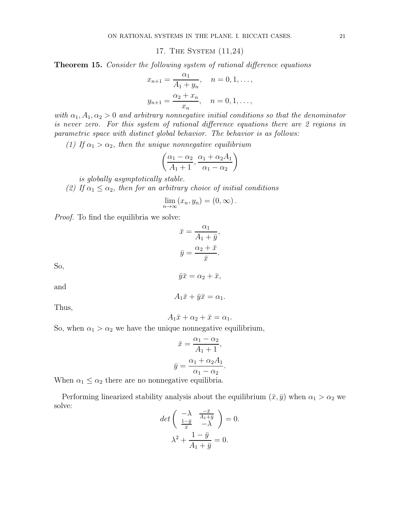17. The System (11,24)

Theorem 15. Consider the following system of rational difference equations

$$
x_{n+1} = \frac{\alpha_1}{A_1 + y_n}, \quad n = 0, 1, \dots,
$$
  

$$
y_{n+1} = \frac{\alpha_2 + x_n}{x_n}, \quad n = 0, 1, \dots,
$$

with  $\alpha_1, A_1, \alpha_2 > 0$  and arbitrary nonnegative initial conditions so that the denominator is never zero. For this system of rational difference equations there are 2 regions in parametric space with distinct global behavior. The behavior is as follows:

(1) If  $\alpha_1 > \alpha_2$ , then the unique nonnegative equilibrium

$$
\left(\frac{\alpha_1 - \alpha_2}{A_1 + 1}, \frac{\alpha_1 + \alpha_2 A_1}{\alpha_1 - \alpha_2}\right)
$$

is globally asymptotically stable.

(2) If  $\alpha_1 \leq \alpha_2$ , then for an arbitrary choice of initial conditions

$$
\lim_{n\to\infty}(x_n,y_n)=(0,\infty).
$$

Proof. To find the equilibria we solve:

$$
\bar{x} = \frac{\alpha_1}{A_1 + \bar{y}},
$$

$$
\bar{y} = \frac{\alpha_2 + \bar{x}}{\bar{x}}.
$$

So,

$$
\bar{y}\bar{x} = \alpha_2 + \bar{x},
$$

and

 $A_1\bar{x} + \bar{y}\bar{x} = \alpha_1.$ 

Thus,

$$
A_1\bar{x} + \alpha_2 + \bar{x} = \alpha_1.
$$

So, when  $\alpha_1 > \alpha_2$  we have the unique nonnegative equilibrium,

$$
\bar{x} = \frac{\alpha_1 - \alpha_2}{A_1 + 1},
$$

$$
\bar{y} = \frac{\alpha_1 + \alpha_2 A_1}{\alpha_1 - \alpha_2}.
$$

When  $\alpha_1 \leq \alpha_2$  there are no nonnegative equilibria.

Performing linearized stability analysis about the equilibrium  $(\bar{x}, \bar{y})$  when  $\alpha_1 > \alpha_2$  we solve:

$$
\det\begin{pmatrix} -\lambda & \frac{-\bar{x}}{A_1 + \bar{y}} \\ \frac{1 - \bar{y}}{\bar{x}} & -\lambda \end{pmatrix} = 0.
$$

$$
\lambda^2 + \frac{1 - \bar{y}}{A_1 + \bar{y}} = 0.
$$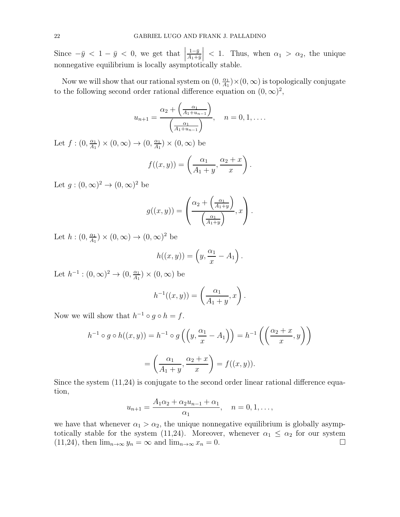Since  $-\bar{y} < 1 - \bar{y} < 0$ , we get that  $\left. \frac{1-\bar{y}}{A_1+\bar{y}} \right|$  $< 1$ . Thus, when  $\alpha_1 > \alpha_2$ , the unique nonnegative equilibrium is locally asymptotically stable.

Now we will show that our rational system on  $(0, \frac{\alpha_1}{4}$  $\frac{\alpha_1}{A_1}$   $\times$  (0,  $\infty$ ) is topologically conjugate to the following second order rational difference equation on  $(0, \infty)^2$ ,

$$
u_{n+1} = \frac{\alpha_2 + \left(\frac{\alpha_1}{A_1 + u_{n-1}}\right)}{\left(\frac{\alpha_1}{A_1 + u_{n-1}}\right)}, \quad n = 0, 1, \dots
$$

Let  $f:(0,\frac{\alpha_1}{4}$  $\frac{\alpha_1}{A_1}$   $\times$   $(0, \infty)$   $\rightarrow$   $(0, \frac{\alpha_1}{A_1})$  $\frac{\alpha_1}{A_1}$   $\times$   $(0,\infty)$  be

$$
f((x,y)) = \left(\frac{\alpha_1}{A_1 + y}, \frac{\alpha_2 + x}{x}\right).
$$

Let  $g:(0,\infty)^2\to(0,\infty)^2$  be

$$
g((x,y)) = \left(\frac{\alpha_2 + \left(\frac{\alpha_1}{A_1 + y}\right)}{\left(\frac{\alpha_1}{A_1 + y}\right)}, x\right).
$$

Let  $h: (0, \frac{\alpha_1}{4}$  $\frac{\alpha_1}{A_1}$   $\times$   $(0,\infty)$   $\rightarrow$   $(0,\infty)^2$  be

$$
h((x,y)) = \left(y, \frac{\alpha_1}{x} - A_1\right).
$$

Let  $h^{-1} : (0, \infty)^2 \to (0, \frac{\alpha_1}{A_1})$  $\frac{\alpha_1}{A_1}$   $\times$   $(0,\infty)$  be

$$
h^{-1}((x,y)) = \left(\frac{\alpha_1}{A_1 + y}, x\right).
$$

Now we will show that  $h^{-1} \circ g \circ h = f$ .

$$
h^{-1} \circ g \circ h((x, y)) = h^{-1} \circ g\left(\left(y, \frac{\alpha_1}{x} - A_1\right)\right) = h^{-1}\left(\left(\frac{\alpha_2 + x}{x}, y\right)\right)
$$

$$
= \left(\frac{\alpha_1}{A_1 + y}, \frac{\alpha_2 + x}{x}\right) = f((x, y)).
$$

Since the system (11,24) is conjugate to the second order linear rational difference equation,

$$
u_{n+1} = \frac{A_1 \alpha_2 + \alpha_2 u_{n-1} + \alpha_1}{\alpha_1}, \quad n = 0, 1, \dots,
$$

we have that whenever  $\alpha_1 > \alpha_2$ , the unique nonnegative equilibrium is globally asymptotically stable for the system (11,24). Moreover, whenever  $\alpha_1 \leq \alpha_2$  for our system (11,24), then  $\lim_{n\to\infty} y_n = \infty$  and  $\lim_{n\to\infty} x_n = 0$ . (11,24), then  $\lim_{n\to\infty} y_n = \infty$  and  $\lim_{n\to\infty} x_n = 0$ .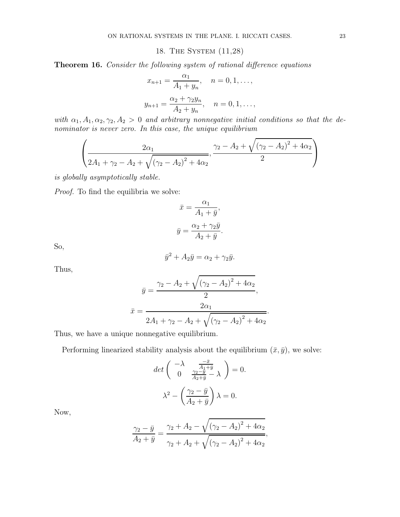18. The System (11,28)

Theorem 16. Consider the following system of rational difference equations

$$
x_{n+1} = \frac{\alpha_1}{A_1 + y_n}, \quad n = 0, 1, \dots,
$$
  

$$
y_{n+1} = \frac{\alpha_2 + \gamma_2 y_n}{A_2 + y_n}, \quad n = 0, 1, \dots,
$$

with  $\alpha_1, A_1, \alpha_2, \gamma_2, A_2 > 0$  and arbitrary nonnegative initial conditions so that the denominator is never zero. In this case, the unique equilibrium

$$
\left(\frac{2\alpha_1}{2A_1 + \gamma_2 - A_2 + \sqrt{(\gamma_2 - A_2)^2 + 4\alpha_2}}, \frac{\gamma_2 - A_2 + \sqrt{(\gamma_2 - A_2)^2 + 4\alpha_2}}{2}\right)
$$

is globally asymptotically stable.

Proof. To find the equilibria we solve:

$$
\bar{x} = \frac{\alpha_1}{A_1 + \bar{y}},
$$

$$
\bar{y} = \frac{\alpha_2 + \gamma_2 \bar{y}}{A_2 + \bar{y}}.
$$

So,

$$
\bar{y}^2 + A_2 \bar{y} = \alpha_2 + \gamma_2 \bar{y}.
$$

Thus,

$$
\bar{y} = \frac{\gamma_2 - A_2 + \sqrt{(\gamma_2 - A_2)^2 + 4\alpha_2}}{2},
$$

$$
\bar{x} = \frac{2\alpha_1}{2A_1 + \gamma_2 - A_2 + \sqrt{(\gamma_2 - A_2)^2 + 4\alpha_2}}.
$$

Thus, we have a unique nonnegative equilibrium.

Performing linearized stability analysis about the equilibrium  $(\bar{x}, \bar{y})$ , we solve:

$$
\det\begin{pmatrix} -\lambda & \frac{-\bar{x}}{A_1+\bar{y}} \\ 0 & \frac{\gamma_2-\bar{y}}{A_2+\bar{y}} - \lambda \end{pmatrix} = 0.
$$

$$
\lambda^2 - \left(\frac{\gamma_2-\bar{y}}{A_2+\bar{y}}\right)\lambda = 0.
$$

Now,

$$
\frac{\gamma_2 - \bar{y}}{A_2 + \bar{y}} = \frac{\gamma_2 + A_2 - \sqrt{(\gamma_2 - A_2)^2 + 4\alpha_2}}{\gamma_2 + A_2 + \sqrt{(\gamma_2 - A_2)^2 + 4\alpha_2}},
$$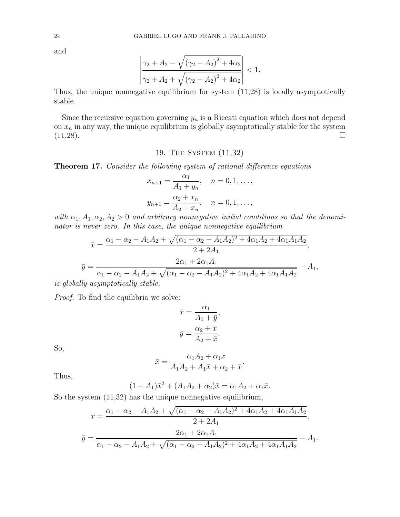and

$$
\left|\frac{\gamma_2 + A_2 - \sqrt{(\gamma_2 - A_2)^2 + 4\alpha_2}}{\gamma_2 + A_2 + \sqrt{(\gamma_2 - A_2)^2 + 4\alpha_2}}\right| < 1.
$$

Thus, the unique nonnegative equilibrium for system (11,28) is locally asymptotically stable.

Since the recursive equation governing  $y_n$  is a Riccati equation which does not depend on  $x_n$  in any way, the unique equilibrium is globally asymptotically stable for the system  $(11,28)$ .

# 19. The System (11,32)

Theorem 17. Consider the following system of rational difference equations

$$
x_{n+1} = \frac{\alpha_1}{A_1 + y_n}, \quad n = 0, 1, \dots,
$$
  

$$
y_{n+1} = \frac{\alpha_2 + x_n}{A_2 + x_n}, \quad n = 0, 1, \dots,
$$

with  $\alpha_1, A_1, \alpha_2, A_2 > 0$  and arbitrary nonnegative initial conditions so that the denominator is never zero. In this case, the unique nonnegative equilibrium

$$
\bar{x} = \frac{\alpha_1 - \alpha_2 - A_1 A_2 + \sqrt{(\alpha_1 - \alpha_2 - A_1 A_2)^2 + 4\alpha_1 A_2 + 4\alpha_1 A_1 A_2}}{2 + 2A_1},
$$
\n
$$
\bar{y} = \frac{2\alpha_1 + 2\alpha_1 A_1}{\alpha_1 - \alpha_2 - A_1 A_2 + \sqrt{(\alpha_1 - \alpha_2 - A_1 A_2)^2 + 4\alpha_1 A_2 + 4\alpha_1 A_1 A_2}} - A_1,
$$
\nThus, asymptotically, stable.

is globally asymptotically stable.

Proof. To find the equilibria we solve:

$$
\bar{x} = \frac{\alpha_1}{A_1 + \bar{y}},
$$

$$
\bar{y} = \frac{\alpha_2 + \bar{x}}{A_2 + \bar{x}}.
$$

So,

$$
\bar{x} = \frac{\alpha_1 A_2 + \alpha_1 \bar{x}}{A_1 A_2 + A_1 \bar{x} + \alpha_2 + \bar{x}}.
$$

Thus,

$$
(1 + A_1)\bar{x}^2 + (A_1A_2 + \alpha_2)\bar{x} = \alpha_1A_2 + \alpha_1\bar{x}.
$$

So the system (11,32) has the unique nonnegative equilibrium,

$$
\bar{x} = \frac{\alpha_1 - \alpha_2 - A_1 A_2 + \sqrt{(\alpha_1 - \alpha_2 - A_1 A_2)^2 + 4\alpha_1 A_2 + 4\alpha_1 A_1 A_2}}{2 + 2A_1},
$$
  

$$
\bar{y} = \frac{2\alpha_1 + 2\alpha_1 A_1}{\alpha_1 - \alpha_2 - A_1 A_2 + \sqrt{(\alpha_1 - \alpha_2 - A_1 A_2)^2 + 4\alpha_1 A_2 + 4\alpha_1 A_1 A_2}} - A_1.
$$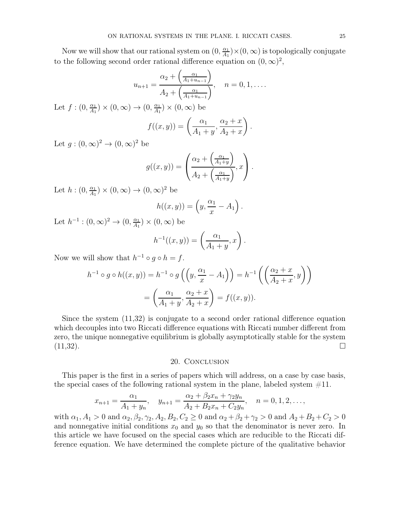Now we will show that our rational system on  $(0, \frac{\alpha_1}{4}$  $\frac{\alpha_1}{A_1}$   $\times$  (0,  $\infty$ ) is topologically conjugate to the following second order rational difference equation on  $(0, \infty)^2$ ,

$$
u_{n+1} = \frac{\alpha_2 + \left(\frac{\alpha_1}{A_1 + u_{n-1}}\right)}{A_2 + \left(\frac{\alpha_1}{A_1 + u_{n-1}}\right)}, \quad n = 0, 1, ....
$$
  
Let  $f: (0, \frac{\alpha_1}{A_1}) \times (0, \infty) \to (0, \frac{\alpha_1}{A_1}) \times (0, \infty)$  be  

$$
f((x, y)) = \left(\frac{\alpha_1}{A_1 + y}, \frac{\alpha_2 + x}{A_2 + x}\right).
$$

Let  $g:(0,\infty)^2\to(0,\infty)^2$  be

$$
g((x,y)) = \left(\frac{\alpha_2 + \left(\frac{\alpha_1}{A_1 + y}\right)}{A_2 + \left(\frac{\alpha_1}{A_1 + y}\right)}, x\right).
$$

Let  $h:(0,\frac{\alpha_1}{4}$  $\frac{\alpha_1}{A_1}$   $\times$   $(0,\infty)$   $\rightarrow$   $(0,\infty)^2$  be

$$
h((x,y)) = \left(y, \frac{\alpha_1}{x} - A_1\right).
$$

Let  $h^{-1} : (0, \infty)^2 \to (0, \frac{\alpha_1}{A_1})$  $\frac{\alpha_1}{A_1}$   $\times$   $(0,\infty)$  be

$$
h^{-1}((x,y)) = \left(\frac{\alpha_1}{A_1 + y}, x\right).
$$

Now we will show that  $h^{-1} \circ g \circ h = f$ .

$$
h^{-1} \circ g \circ h((x, y)) = h^{-1} \circ g\left(\left(y, \frac{\alpha_1}{x} - A_1\right)\right) = h^{-1}\left(\left(\frac{\alpha_2 + x}{A_2 + x}, y\right)\right)
$$

$$
= \left(\frac{\alpha_1}{A_1 + y}, \frac{\alpha_2 + x}{A_2 + x}\right) = f((x, y)).
$$

Since the system (11,32) is conjugate to a second order rational difference equation which decouples into two Riccati difference equations with Riccati number different from zero, the unique nonnegative equilibrium is globally asymptotically stable for the system  $(11,32).$ 

#### 20. Conclusion

This paper is the first in a series of papers which will address, on a case by case basis, the special cases of the following rational system in the plane, labeled system  $#11$ .

$$
x_{n+1} = \frac{\alpha_1}{A_1 + y_n}, \quad y_{n+1} = \frac{\alpha_2 + \beta_2 x_n + \gamma_2 y_n}{A_2 + B_2 x_n + C_2 y_n}, \quad n = 0, 1, 2, \dots,
$$

with  $\alpha_1, A_1 > 0$  and  $\alpha_2, \beta_2, \gamma_2, A_2, B_2, C_2 \ge 0$  and  $\alpha_2 + \beta_2 + \gamma_2 > 0$  and  $A_2 + B_2 + C_2 > 0$ and nonnegative initial conditions  $x_0$  and  $y_0$  so that the denominator is never zero. In this article we have focused on the special cases which are reducible to the Riccati difference equation. We have determined the complete picture of the qualitative behavior